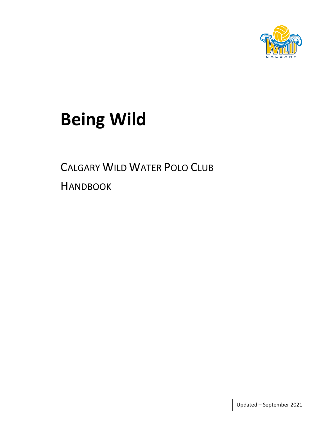

# **Being Wild**

CALGARY WILD WATER POLO CLUB

**HANDBOOK** 

Updated – September 2021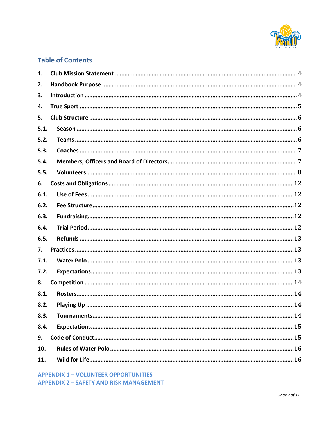

# **Table of Contents**

| 1.   |  |
|------|--|
| 2.   |  |
| 3.   |  |
| 4.   |  |
| 5.   |  |
| 5.1. |  |
| 5.2. |  |
| 5.3. |  |
| 5.4. |  |
| 5.5. |  |
| 6.   |  |
| 6.1. |  |
| 6.2. |  |
| 6.3. |  |
| 6.4. |  |
| 6.5. |  |
| 7.   |  |
| 7.1. |  |
| 7.2. |  |
| 8.   |  |
| 8.1. |  |
| 8.2. |  |
| 8.3. |  |
| 8.4. |  |
| 9.   |  |
| 10.  |  |
| 11.  |  |

**APPENDIX 1 - VOLUNTEER OPPORTUNITIES APPENDIX 2 - SAFETY AND RISK MANAGEMENT**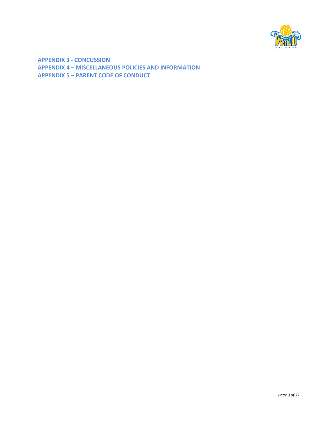

**APPENDIX 3 - CONCUSSION APPENDIX 4 – MISCELLANEOUS POLICIES AND INFORMATION APPENDIX 5 – PARENT CODE OF CONDUCT**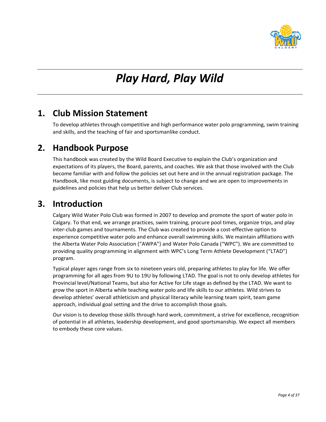

# *Play Hard, Play Wild*

# <span id="page-3-0"></span>**1. Club Mission Statement**

To develop athletes through competitive and high performance water polo programming, swim training and skills, and the teaching of fair and sportsmanlike conduct.

# <span id="page-3-1"></span>**2. Handbook Purpose**

This handbook was created by the Wild Board Executive to explain the Club's organization and expectations of its players, the Board, parents, and coaches. We ask that those involved with the Club become familiar with and follow the policies set out here and in the annual registration package. The Handbook, like most guiding documents, is subject to change and we are open to improvements in guidelines and policies that help us better deliver Club services.

# <span id="page-3-2"></span>**3. Introduction**

Calgary Wild Water Polo Club was formed in 2007 to develop and promote the sport of water polo in Calgary. To that end, we arrange practices, swim training, procure pool times, organize trips, and play inter-club games and tournaments. The Club was created to provide a cost-effective option to experience competitive water polo and enhance overall swimming skills. We maintain affiliations with the Alberta Water Polo Association ("AWPA") and Water Polo Canada ("WPC"). We are committed to providing quality programming in alignment with WPC's Long Term Athlete Development ("LTAD") program.

Typical player ages range from six to nineteen years old, preparing athletes to play for life. We offer programming for all ages from 9U to 19U by following LTAD. The goal is not to only develop athletes for Provincial level/National Teams, but also for Active for Life stage as defined by the LTAD. We want to grow the sport in Alberta while teaching water polo and life skills to our athletes. Wild strives to develop athletes' overall athleticism and physical literacy while learning team spirit, team game approach, individual goal setting and the drive to accomplish those goals.

Our vision is to develop those skills through hard work, commitment, a strive for excellence, recognition of potential in all athletes, leadership development, and good sportsmanship. We expect all members to embody these core values.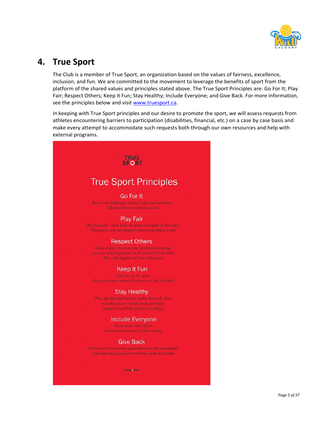

# <span id="page-4-0"></span>**4. True Sport**

The Club is a member of True Sport, an organization based on the values of fairness, excellence, inclusion, and fun. We are committed to the movement to leverage the benefits of sport from the platform of the shared values and principles stated above. The True Sport Principles are: Go For It; Play Fair; Respect Others; Keep It Fun; Stay Healthy; Include Everyone; and Give Back. For more information, see the principles below and visit [www.truesport.ca.](http://www.truesport.ca/)

In keeping with True Sport principles and our desire to promote the sport, we will assess requests from athletes encountering barriers to participation (disabilities, financial, etc.) on a case by case basis and make every attempt to accommodate such requests both through our own resources and help with external programs.

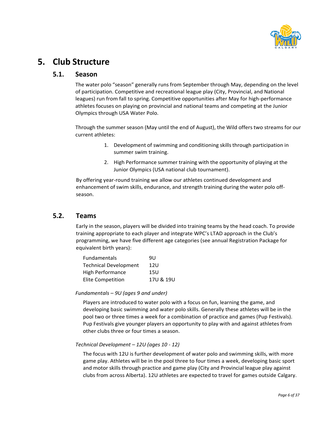

# <span id="page-5-1"></span><span id="page-5-0"></span>**5. Club Structure**

### **5.1. Season**

The water polo "season" generally runs from September through May, depending on the level of participation. Competitive and recreational league play (City, Provincial, and National leagues) run from fall to spring. Competitive opportunities after May for high-performance athletes focuses on playing on provincial and national teams and competing at the Junior Olympics through USA Water Polo.

Through the summer season (May until the end of August), the Wild offers two streams for our current athletes:

- 1. Development of swimming and conditioning skills through participation in summer swim training.
- 2. High Performance summer training with the opportunity of playing at the Junior Olympics (USA national club tournament).

By offering year-round training we allow our athletes continued development and enhancement of swim skills, endurance, and strength training during the water polo offseason.

### <span id="page-5-2"></span>**5.2. Teams**

Early in the season, players will be divided into training teams by the head coach. To provide training appropriate to each player and integrate WPC's LTAD approach in the Club's programming, we have five different age categories (see annual Registration Package for equivalent birth years):

| <b>Fundamentals</b>          | 911       |
|------------------------------|-----------|
| <b>Technical Development</b> | 12U       |
| High Performance             | 15U       |
| <b>Elite Competition</b>     | 17U & 19U |

#### *Fundamentals – 9U (ages 9 and under)*

Players are introduced to water polo with a focus on fun, learning the game, and developing basic swimming and water polo skills. Generally these athletes will be in the pool two or three times a week for a combination of practice and games (Pup Festivals). Pup Festivals give younger players an opportunity to play with and against athletes from other clubs three or four times a season.

#### *Technical Development – 12U (ages 10 - 12)*

The focus with 12U is further development of water polo and swimming skills, with more game play. Athletes will be in the pool three to four times a week, developing basic sport and motor skills through practice and game play (City and Provincial league play against clubs from across Alberta). 12U athletes are expected to travel for games outside Calgary.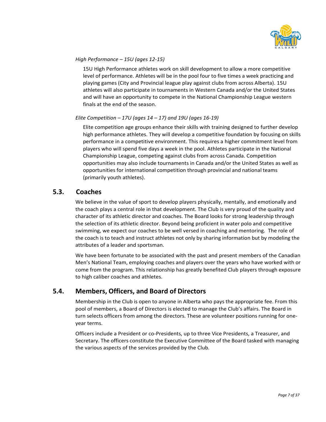

#### *High Performance – 15U (ages 12-15)*

15U High Performance athletes work on skill development to allow a more competitive level of performance. Athletes will be in the pool four to five times a week practicing and playing games (City and Provincial league play against clubs from across Alberta). 15U athletes will also participate in tournaments in Western Canada and/or the United States and will have an opportunity to compete in the National Championship League western finals at the end of the season.

#### *Elite Competition – 17U (ages 14 – 17) and 19U (ages 16-19)*

Elite competition age groups enhance their skills with training designed to further develop high performance athletes. They will develop a competitive foundation by focusing on skills performance in a competitive environment. This requires a higher commitment level from players who will spend five days a week in the pool. Athletes participate in the National Championship League, competing against clubs from across Canada. Competition opportunities may also include tournaments in Canada and/or the United States as well as opportunities for international competition through provincial and national teams (primarily youth athletes).

### <span id="page-6-0"></span>**5.3. Coaches**

We believe in the value of sport to develop players physically, mentally, and emotionally and the coach plays a central role in that development. The Club is very proud of the quality and character of its athletic director and coaches. The Board looks for strong leadership through the selection of its athletic director. Beyond being proficient in water polo and competitive swimming, we expect our coaches to be well versed in coaching and mentoring. The role of the coach is to teach and instruct athletes not only by sharing information but by modeling the attributes of a leader and sportsman.

We have been fortunate to be associated with the past and present members of the Canadian Men's National Team, employing coaches and players over the years who have worked with or come from the program. This relationship has greatly benefited Club players through exposure to high caliber coaches and athletes.

## <span id="page-6-1"></span>**5.4. Members, Officers, and Board of Directors**

Membership in the Club is open to anyone in Alberta who pays the appropriate fee. From this pool of members, a Board of Directors is elected to manage the Club's affairs. The Board in turn selects officers from among the directors. These are volunteer positions running for oneyear terms.

Officers include a President or co-Presidents, up to three Vice Presidents, a Treasurer, and Secretary. The officers constitute the Executive Committee of the Board tasked with managing the various aspects of the services provided by the Club.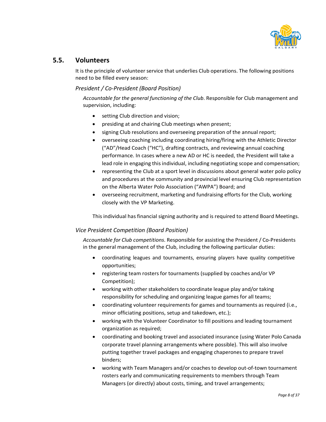

### <span id="page-7-0"></span>**5.5. Volunteers**

It is the principle of volunteer service that underlies Club operations. The following positions need to be filled every season:

### *President / Co-President (Board Position)*

*Accountable for the general functioning of the Club*. Responsible for Club management and supervision, including:

- setting Club direction and vision;
- presiding at and chairing Club meetings when present;
- signing Club resolutions and overseeing preparation of the annual report;
- overseeing coaching including coordinating hiring/firing with the Athletic Director ("AD"/Head Coach ("HC"), drafting contracts, and reviewing annual coaching performance. In cases where a new AD or HC is needed, the President will take a lead role in engaging thisindividual, including negotiating scope and compensation;
- representing the Club at a sport level in discussions about general water polo policy and procedures at the community and provincial level ensuring Club representation on the Alberta Water Polo Association ("AWPA") Board; and
- overseeing recruitment, marketing and fundraising efforts for the Club, working closely with the VP Marketing.

This individual has financial signing authority and is required to attend Board Meetings.

### *Vice President Competition (Board Position)*

*Accountable for Club competitions*. Responsible for assisting the President / Co-Presidents in the general management of the Club, including the following particular duties:

- coordinating leagues and tournaments, ensuring players have quality competitive opportunities;
- registering team rosters for tournaments (supplied by coaches and/or VP Competition);
- working with other stakeholders to coordinate league play and/or taking responsibility for scheduling and organizing league games for all teams;
- coordinating volunteer requirements for games and tournaments as required (i.e., minor officiating positions, setup and takedown, etc.);
- working with the Volunteer Coordinator to fill positions and leading tournament organization as required;
- coordinating and booking travel and associated insurance (using Water Polo Canada corporate travel planning arrangements where possible). This will also involve putting together travel packages and engaging chaperones to prepare travel binders;
- working with Team Managers and/or coaches to develop out-of-town tournament rosters early and communicating requirements to members through Team Managers (or directly) about costs, timing, and travel arrangements;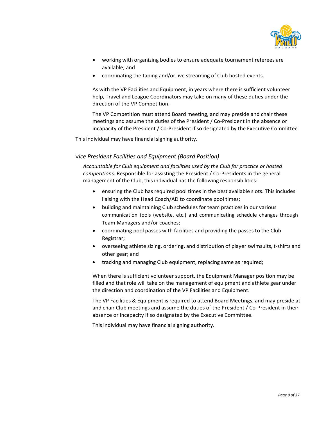

- working with organizing bodies to ensure adequate tournament referees are available; and
- coordinating the taping and/or live streaming of Club hosted events.

As with the VP Facilities and Equipment, in years where there is sufficient volunteer help, Travel and League Coordinators may take on many of these duties under the direction of the VP Competition.

The VP Competition must attend Board meeting, and may preside and chair these meetings and assume the duties of the President / Co-President in the absence or incapacity of the President / Co-President if so designated by the Executive Committee.

This individual may have financial signing authority.

### V*ice President Facilities and Equipment (Board Position)*

*Accountable for Club equipment and facilities used by the Club for practice or hosted competitions*. Responsible for assisting the President / Co-Presidents in the general management of the Club, this individual has the following responsibilities:

- ensuring the Club has required pool times in the best available slots. This includes liaising with the Head Coach/AD to coordinate pool times;
- building and maintaining Club schedules for team practices in our various communication tools (website, etc.) and communicating schedule changes through Team Managers and/or coaches;
- coordinating pool passes with facilities and providing the passes to the Club Registrar;
- overseeing athlete sizing, ordering, and distribution of player swimsuits, t-shirts and other gear; and
- tracking and managing Club equipment, replacing same as required;

When there is sufficient volunteer support, the Equipment Manager position may be filled and that role will take on the management of equipment and athlete gear under the direction and coordination of the VP Facilities and Equipment.

The VP Facilities & Equipment is required to attend Board Meetings, and may preside at and chair Club meetings and assume the duties of the President / Co-President in their absence or incapacity if so designated by the Executive Committee.

This individual may have financial signing authority.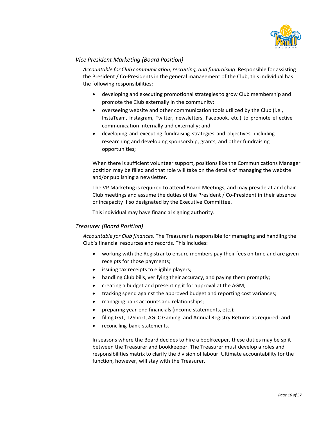

### *Vice President Marketing (Board Position)*

*Accountable for Club communication, recruiting, and fundraising*. Responsible for assisting the President / Co-Presidents in the general management of the Club, this individual has the following responsibilities:

- developing and executing promotional strategies to grow Club membership and promote the Club externally in the community;
- overseeing website and other communication tools utilized by the Club (i.e., InstaTeam, Instagram, Twitter, newsletters, Facebook, etc.) to promote effective communication internally and externally; and
- developing and executing fundraising strategies and objectives, including researching and developing sponsorship, grants, and other fundraising opportunities;

When there is sufficient volunteer support, positions like the Communications Manager position may be filled and that role will take on the details of managing the website and/or publishing a newsletter.

The VP Marketing is required to attend Board Meetings, and may preside at and chair Club meetings and assume the duties of the President / Co-President in their absence or incapacity if so designated by the Executive Committee.

This individual may have financial signing authority.

### *Treasurer (Board Position)*

*Accountable for Club finances*. The Treasurer is responsible for managing and handling the Club's financial resources and records. This includes:

- working with the Registrar to ensure members pay their fees on time and are given receipts for those payments;
- issuing tax receipts to eligible players;
- handling Club bills, verifying their accuracy, and paying them promptly;
- creating a budget and presenting it for approval at the AGM;
- tracking spend against the approved budget and reporting cost variances;
- managing bank accounts and relationships;
- preparing year-end financials(income statements, etc.);
- filing GST, T2Short, AGLC Gaming, and Annual Registry Returns as required; and
- reconciling bank statements.

In seasons where the Board decides to hire a bookkeeper, these duties may be split between the Treasurer and bookkeeper. The Treasurer must develop a roles and responsibilities matrix to clarify the division of labour. Ultimate accountability for the function, however, will stay with the Treasurer.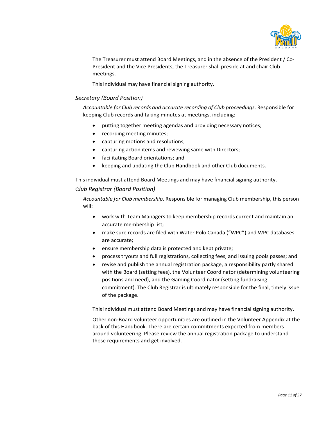

The Treasurer must attend Board Meetings, and in the absence of the President / Co-President and the Vice Presidents, the Treasurer shall preside at and chair Club meetings.

This individual may have financial signing authority.

### *Secretary (Board Position)*

*Accountable for Club records and accurate recording of Club proceedings*. Responsible for keeping Club records and taking minutes at meetings, including:

- putting together meeting agendas and providing necessary notices;
- recording meeting minutes;
- capturing motions and resolutions;
- capturing action items and reviewing same with Directors;
- facilitating Board orientations; and
- keeping and updating the Club Handbook and other Club documents.

This individual must attend Board Meetings and may have financial signing authority.

### C*lub Registrar (Board Position)*

*Accountable for Club membership*. Responsible for managing Club membership, this person will:

- work with Team Managers to keep membership records current and maintain an accurate membership list;
- make sure records are filed with Water Polo Canada ("WPC") and WPC databases are accurate;
- ensure membership data is protected and kept private;
- process tryouts and full registrations, collecting fees, and issuing pools passes; and
- revise and publish the annual registration package, a responsibility partly shared with the Board (setting fees), the Volunteer Coordinator (determining volunteering positions and need), and the Gaming Coordinator (setting fundraising commitment). The Club Registrar is ultimately responsible for the final, timely issue of the package.

This individual must attend Board Meetings and may have financial signing authority.

Other non-Board volunteer opportunities are outlined in the Volunteer Appendix at the back of this Handbook. There are certain commitments expected from members around volunteering. Please review the annual registration package to understand those requirements and get involved.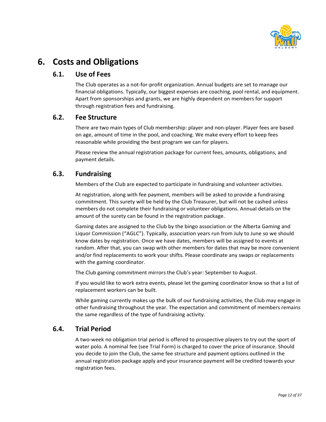

# <span id="page-11-1"></span><span id="page-11-0"></span>**6. Costs and Obligations**

### **6.1. Use of Fees**

The Club operates as a not-for-profit organization. Annual budgets are set to manage our financial obligations. Typically, our biggest expenses are coaching, pool rental, and equipment. Apart from sponsorships and grants, we are highly dependent on members for support through registration fees and fundraising.

### <span id="page-11-2"></span>**6.2. Fee Structure**

There are two main types of Club membership: player and non-player. Player fees are based on age, amount of time in the pool, and coaching. We make every effort to keep fees reasonable while providing the best program we can for players.

Please review the annual registration package for current fees, amounts, obligations, and payment details.

### <span id="page-11-3"></span>**6.3. Fundraising**

Members of the Club are expected to participate in fundraising and volunteer activities.

At registration, along with fee payment, members will be asked to provide a fundraising commitment. This surety will be held by the Club Treasurer, but will not be cashed unless members do not complete their fundraising or volunteer obligations. Annual details on the amount of the surety can be found in the registration package.

Gaming dates are assigned to the Club by the bingo association or the Alberta Gaming and Liquor Commission ("AGLC"). Typically, association years run from July to June so we should know dates by registration. Once we have dates, members will be assigned to events at random. After that, you can swap with other members for dates that may be more convenient and/or find replacements to work your shifts. Please coordinate any swaps or replacements with the gaming coordinator.

The Club gaming commitment mirrors the Club's year: September to August.

If you would like to work extra events, please let the gaming coordinator know so that a list of replacement workers can be built.

While gaming currently makes up the bulk of our fundraising activities, the Club may engage in other fundraising throughout the year. The expectation and commitment of members remains the same regardless of the type of fundraising activity.

## <span id="page-11-4"></span>**6.4. Trial Period**

A two-week no obligation trial period is offered to prospective players to try out the sport of water polo. A nominal fee (see Trial Form) is charged to cover the price of insurance. Should you decide to join the Club, the same fee structure and payment options outlined in the annual registration package apply and your insurance payment will be credited towards your registration fees.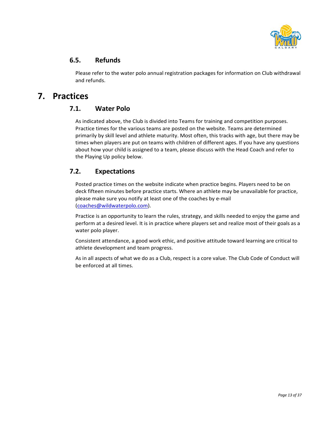

### <span id="page-12-0"></span>**6.5. Refunds**

Please refer to the water polo annual registration packages for information on Club withdrawal and refunds.

# <span id="page-12-2"></span><span id="page-12-1"></span>**7. Practices**

### **7.1. Water Polo**

As indicated above, the Club is divided into Teams for training and competition purposes. Practice times for the various teams are posted on the website. Teams are determined primarily by skill level and athlete maturity. Most often, this tracks with age, but there may be times when players are put on teams with children of different ages. If you have any questions about how your child is assigned to a team, please discuss with the Head Coach and refer to the Playing Up policy below.

## <span id="page-12-3"></span>**7.2. Expectations**

Posted practice times on the website indicate when practice begins. Players need to be on deck fifteen minutes before practice starts. Where an athlete may be unavailable for practice, please make sure you notify at least one of the coaches by e-mail (coaches@wildwaterpolo.com).

Practice is an opportunity to learn the rules, strategy, and skills needed to enjoy the game and perform at a desired level. It is in practice where players set and realize most of their goals as a water polo player.

Consistent attendance, a good work ethic, and positive attitude toward learning are critical to athlete development and team progress.

As in all aspects of what we do as a Club, respect is a core value. The Club Code of Conduct will be enforced at all times.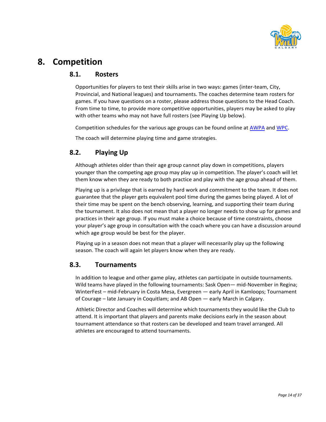

# <span id="page-13-1"></span><span id="page-13-0"></span>**8. Competition**

### **8.1. Rosters**

Opportunities for players to test their skills arise in two ways: games (inter-team, City, Provincial, and National leagues) and tournaments. The coaches determine team rosters for games. If you have questions on a roster, please address those questions to the Head Coach. From time to time, to provide more competitive opportunities, players may be asked to play with other teams who may not have full rosters (see Playing Up below).

Competition schedules for the various age groups can be found online at [AWPA](https://www.albertawaterpolo.ca/) and [WPC.](https://waterpolo.ca/content/ncl-overview)

The coach will determine playing time and game strategies.

# <span id="page-13-2"></span>**8.2. Playing Up**

Although athletes older than their age group cannot play down in competitions, players younger than the competing age group may play up in competition. The player's coach will let them know when they are ready to both practice and play with the age group ahead of them.

Playing up is a privilege that is earned by hard work and commitment to the team. It does not guarantee that the player gets equivalent pool time during the games being played. A lot of their time may be spent on the bench observing, learning, and supporting their team during the tournament. It also does not mean that a player no longer needs to show up for games and practices in their age group. If you must make a choice because of time constraints, choose your player's age group in consultation with the coach where you can have a discussion around which age group would be best for the player.

Playing up in a season does not mean that a player will necessarily play up the following season. The coach will again let players know when they are ready.

## <span id="page-13-3"></span>**8.3. Tournaments**

In addition to league and other game play, athletes can participate in outside tournaments. Wild teams have played in the following tournaments: Sask Open— mid-November in Regina; WinterFest – mid-February in Costa Mesa, Evergreen — early April in Kamloops; Tournament of Courage – late January in Coquitlam; and AB Open — early March in Calgary.

Athletic Director and Coaches will determine which tournaments they would like the Club to attend. It is important that players and parents make decisions early in the season about tournament attendance so that rosters can be developed and team travel arranged. All athletes are encouraged to attend tournaments.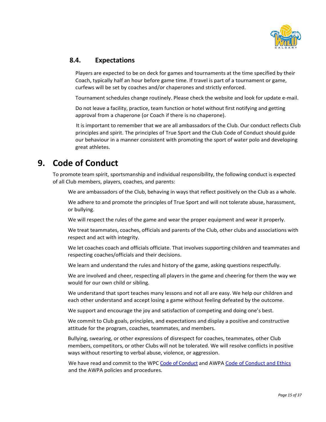

### <span id="page-14-0"></span>**8.4. Expectations**

Players are expected to be on deck for games and tournaments at the time specified by their Coach, typically half an hour before game time. If travel is part of a tournament or game, curfews will be set by coaches and/or chaperones and strictly enforced.

Tournament schedules change routinely. Please check the website and look for update e-mail.

Do not leave a facility, practice, team function or hotel without first notifying and getting approval from a chaperone (or Coach if there is no chaperone).

It is important to remember that we are all ambassadors of the Club. Our conduct reflects Club principles and spirit. The principles of True Sport and the Club Code of Conduct should guide our behaviour in a manner consistent with promoting the sport of water polo and developing great athletes.

# <span id="page-14-1"></span>**9. Code of Conduct**

To promote team spirit, sportsmanship and individual responsibility, the following conduct is expected of all Club members, players, coaches, and parents:

We are ambassadors of the Club, behaving in ways that reflect positively on the Club as a whole.

We adhere to and promote the principles of True Sport and will not tolerate abuse, harassment, or bullying.

We will respect the rules of the game and wear the proper equipment and wear it properly.

We treat teammates, coaches, officials and parents of the Club, other clubs and associations with respect and act with integrity.

We let coaches coach and officials officiate. That involves supporting children and teammates and respecting coaches/officials and their decisions.

We learn and understand the rules and history of the game, asking questions respectfully.

We are involved and cheer, respecting all players in the game and cheering for them the way we would for our own child or sibling.

We understand that sport teaches many lessons and not all are easy. We help our children and each other understand and accept losing a game without feeling defeated by the outcome.

We support and encourage the joy and satisfaction of competing and doing one's best.

We commit to Club goals, principles, and expectations and display a positive and constructive attitude for the program, coaches, teammates, and members.

Bullying, swearing, or other expressions of disrespect for coaches, teammates, other Club members, competitors, or other Clubs will not be tolerated. We will resolve conflicts in positive ways without resorting to verbal abuse, violence, or aggression.

We have read and commit to the WPC [Code of Conduct](https://cloud.rampinteractive.com/waterpoloca/files/Policies%20and%20Bylaws%20Files/Code%20of%20Conduct%20with%20Disciplinary%20Procedure%202021.pdf) and AWPA [Code of Conduct and Ethics](http://awpa.goalline.ca/news_images/org_4047/files/AWPA%20Code%20of%20Conduct%20and%20Ethics%2011-2020%20WS(1).pdf) and the AWPA policies and procedures.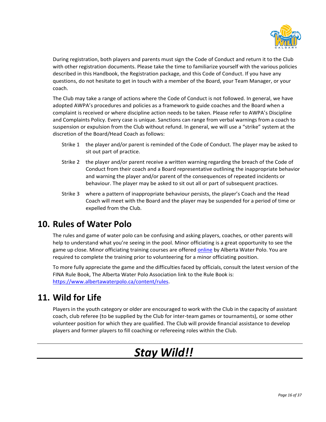

During registration, both players and parents must sign the Code of Conduct and return it to the Club with other registration documents. Please take the time to familiarize yourself with the various policies described in this Handbook, the Registration package, and this Code of Conduct. If you have any questions, do not hesitate to get in touch with a member of the Board, your Team Manager, or your coach.

The Club may take a range of actions where the Code of Conduct is not followed. In general, we have adopted AWPA's procedures and policies as a framework to guide coaches and the Board when a complaint is received or where discipline action needs to be taken. Please refer to AWPA's Discipline and Complaints Policy. Every case is unique. Sanctions can range from verbal warnings from a coach to suspension or expulsion from the Club without refund. In general, we will use a "strike" system at the discretion of the Board/Head Coach as follows:

- Strike 1 the player and/or parent is reminded of the Code of Conduct. The player may be asked to sit out part of practice.
- Strike 2 the player and/or parent receive a written warning regarding the breach of the Code of Conduct from their coach and a Board representative outlining the inappropriate behavior and warning the player and/or parent of the consequences of repeated incidents or behaviour. The player may be asked to sit out all or part of subsequent practices.
- Strike 3 where a pattern of inappropriate behaviour persists, the player's Coach and the Head Coach will meet with the Board and the player may be suspended for a period of time or expelled from the Club.

# <span id="page-15-0"></span>**10. Rules of Water Polo**

The rules and game of water polo can be confusing and asking players, coaches, or other parents will help to understand what you're seeing in the pool. Minor officiating is a great opportunity to see the game up close. Minor officiating training courses are offered [online](https://www.albertawaterpolo.ca/content/minor-officials) by Alberta Water Polo. You are required to complete the training prior to volunteering for a minor officiating position.

To more fully appreciate the game and the difficulties faced by officials, consult the latest version of the FINA Rule Book, The Alberta Water Polo Association link to the Rule Book is: [https://www.albertawaterpolo.ca/content/rules.](http://www.albertawaterpolo.ca/Officials.aspx)

# <span id="page-15-1"></span>**11. Wild for Life**

Players in the youth category or older are encouraged to work with the Club in the capacity of assistant coach, club referee (to be supplied by the Club for inter-team games or tournaments), or some other volunteer position for which they are qualified. The Club will provide financial assistance to develop players and former players to fill coaching or refereeing roles within the Club.

# *Stay Wild!!*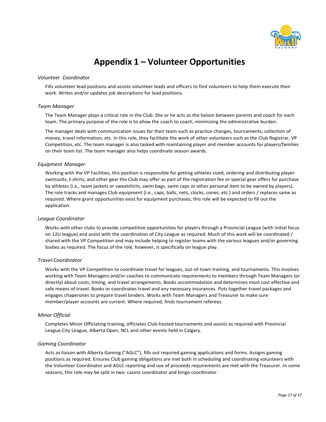

# **Appendix 1 – Volunteer Opportunities**

#### *Volunteer Coordinator*

Fills volunteer lead positions and assists volunteer leads and officers to find volunteers to help them execute their work. Writes and/or updates job descriptions for lead positions.

#### *Team Manager*

The Team Manager plays a critical role in the Club. She or he acts as the liaison between parents and coach for each team. The primary purpose of the role is to allow the coach to coach, minimizing the administrative burden.

The manager deals with communication issues for their team such as practice changes, tournaments, collection of money, travel information, etc. In this role, they facilitate the work of other volunteers such as the Club Registrar, VP Competition, etc. The team manager is also tasked with maintaining player and member accounts for players/families on their team list. The team manager also helps coordinate season awards.

#### *Equipment Manager*

Working with the VP Facilities, this position is responsible for getting athletes sized, ordering and distributing player swimsuits, t-shirts, and other gear the Club may offer as part of the registration fee or special gear offers for purchase by athletes (i.e., team jackets or sweatshirts, swim bags, swim caps or other personal item to be owned by players). The role tracks and manages Club equipment (i.e., caps, balls, nets, clocks, cones, etc.) and orders / replaces same as required. Where grant opportunities exist for equipment purchases, this role will be expected to fill out the application.

#### *League Coordinator*

Works with other clubs to provide competitive opportunities for players through a Provincial League (with initial focus on 12U league) and assist with the coordination of City League as required. Much of this work will be coordinated / shared with the VP Competition and may include helping to register teams with the various leagues and/or governing bodies as required. The focus of the role, however, is specifically on league play.

#### *Travel Coordinator*

Works with the VP Competition to coordinate travel for leagues, out-of-town training, and tournaments. This involves working with Team Managers and/or coaches to communicate requirements to members through Team Managers (or directly) about costs, timing, and travel arrangements. Books accommodation and determines most cost effective and safe means of travel. Books or coordinates travel and any necessary insurances. Puts together travel packages and engages chaperones to prepare travel binders. Works with Team Managers and Treasurer to make sure member/player accounts are current. Where required, finds tournament referees.

#### *Minor Official*

Completes Minor Officiating training, officiates Club-hosted tournaments and assists as required with Provincial League,City League, Alberta Open, NCL and other events held in Calgary.

#### *Gaming Coordinator*

Acts as liaison with Alberta Gaming ("AGLC"), fills out required gaming applications and forms. Assigns gaming positions as required. Ensures Club gaming obligations are met both in scheduling and coordinating volunteers with the Volunteer Coordinator and AGLC reporting and use of proceeds requirements are met with the Treasurer. In some seasons, this role may be split in two: casino coordinator and bingo coordinator.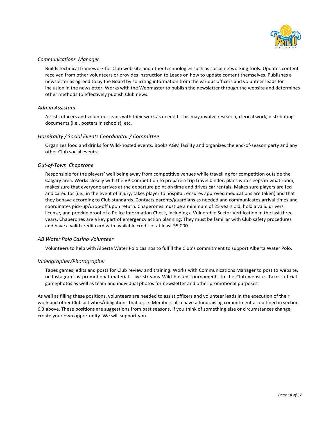

#### *Communications Manager*

Builds technical framework for Club web site and other technologies such as social networking tools. Updates content received from other volunteers or provides instruction to Leads on how to update content themselves. Publishes a newsletter as agreed to by the Board by soliciting information from the various officers and volunteer leads for inclusion in the newsletter. Works with the Webmaster to publish the newsletter through the website and determines other methods to effectively publish Club news.

#### *Admin Assistant*

Assists officers and volunteer leads with their work as needed. This may involve research, clerical work, distributing documents (i.e., posters in schools), etc.

#### *Hospitality / Social Events Coordinator / Committee*

Organizes food and drinks for Wild-hosted events. Books AGM facility and organizes the end-of-season party and any other Club social events.

#### *Out-of-Town Chaperone*

Responsible for the players' well being away from competitive venues while travelling for competition outside the Calgary area. Works closely with the VP Competition to prepare a trip travel binder, plans who sleeps in what room, makes sure that everyone arrives at the departure point on time and drives car rentals. Makes sure players are fed and cared for (i.e., in the event of injury, takes player to hospital, ensures approved medications are taken) and that they behave according to Club standards. Contacts parents/guardians as needed and communicates arrival times and coordinates pick-up/drop-off upon return. Chaperones must be a minimum of 25 years old, hold a valid drivers license, and provide proof of a Police Information Check, including a Vulnerable Sector Verification in the last three years. Chaperones are a key part of emergency action planning. They must be familiar with Club safety procedures and have a valid credit card with available credit of at least \$5,000.

#### *AB Water Polo Casino Volunteer*

Volunteers to help with Alberta Water Polo casinos to fulfill the Club's commitment to support Alberta Water Polo.

#### *Videographer/Photographer*

Tapes games, edits and posts for Club review and training. Works with Communications Manager to post to website, or Instagram as promotional material. Live streams Wild-hosted tournaments to the Club website. Takes official gamephotos as well as team and individual photos for newsletter and other promotional purposes.

As well as filling these positions, volunteers are needed to assist officers and volunteer leads in the execution of their work and other Club activities/obligations that arise. Members also have a fundraising commitment as outlined in section 6.3 above. These positions are suggestions from past seasons. If you think of something else or circumstances change, create your own opportunity. We will support you.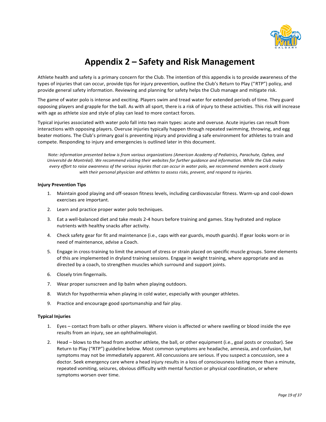

# **Appendix 2 – Safety and Risk Management**

Athlete health and safety is a primary concern for the Club. The intention of this appendix is to provide awareness of the types of injuries that can occur, provide tips for injury prevention, outline the Club's Return to Play ("RTP") policy, and provide general safety information. Reviewing and planning for safety helps the Club manage and mitigate risk.

The game of water polo is intense and exciting. Players swim and tread water for extended periods of time. They guard opposing players and grapple for the ball. As with all sport, there is a risk of injury to these activities. This risk will increase with age as athlete size and style of play can lead to more contact forces.

Typical injuries associated with water polo fall into two main types: acute and overuse. Acute injuries can result from interactions with opposing players. Overuse injuries typically happen through repeated swimming, throwing, and egg beater motions. The Club's primary goal is preventing injury and providing a safe environment for athletes to train and compete. Responding to injury and emergencies is outlined later in this document.

*Note: information presented below is from various organizations (American Academy of Pediatrics, Parachute, Ophea, and* Université de Montréal). We recommend visiting their websites for further quidance and information. While the Club makes every effort to raise awareness of the various injuries that can occur in water polo, we recommend members work closely *with their personal physician and athletes to assess risks, prevent, and respond to injuries.*

#### **Injury Prevention Tips**

- 1. Maintain good playing and off-season fitness levels, including cardiovascular fitness. Warm-up and cool-down exercises are important.
- 2. Learn and practice proper water polo techniques.
- 3. Eat a well-balanced diet and take meals 2-4 hours before training and games. Stay hydrated and replace nutrients with healthy snacks after activity.
- 4. Check safety gear for fit and maintenance (i.e., caps with ear guards, mouth guards). If gear looks worn or in need of maintenance, advise a Coach.
- 5. Engage in cross-training to limit the amount of stress or strain placed on specific muscle groups. Some elements of this are implemented in dryland training sessions. Engage in weight training, where appropriate and as directed by a coach, to strengthen muscles which surround and support joints.
- 6. Closely trim fingernails.
- 7. Wear proper sunscreen and lip balm when playing outdoors.
- 8. Watch for hypothermia when playing in cold water, especially with younger athletes.
- 9. Practice and encourage good sportsmanship and fair play.

#### **Typical Injuries**

- 1. Eyes contact from balls or other players. Where vision is affected or where swelling or blood inside the eye results from an injury, see an ophthalmologist.
- 2. Head blows to the head from another athlete, the ball, or other equipment (i.e., goal posts or crossbar). See Return to Play ("RTP") guideline below. Most common symptoms are headache, amnesia, and confusion, but symptoms may not be immediately apparent. All concussions are serious. If you suspect a concussion, see a doctor. Seek emergency care where a head injury results in a loss of consciousness lasting more than a minute, repeated vomiting, seizures, obvious difficulty with mental function or physical coordination, or where symptoms worsen over time.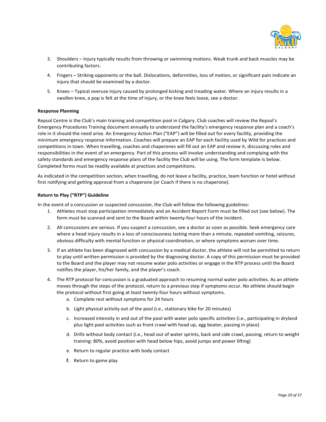

- 3. Shoulders Injury typically results from throwing or swimming motions. Weak trunk and back muscles may be contributing factors.
- 4. Fingers Striking opponents or the ball. Dislocations, deformities, loss of motion, or significant pain indicate an injury that should be examined by a doctor.
- 5. Knees Typical overuse injury caused by prolonged kicking and treading water. Where an injury results in a swollen knee, a pop is felt at the time of injury, or the knee feels loose, see a doctor.

#### **Response Planning**

Repsol Centre is the Club's main training and competition pool in Calgary. Club coaches will review the Repsol's Emergency Procedures Training document annually to understand the facility's emergency response plan and a coach's role in it should the need arise. An Emergency Action Plan ("EAP") will be filled out for every facility, providing the minimum emergency response information. Coaches will prepare an EAP for each facility used by Wild for practices and competitions in town. When travelling, coaches and chaperones will fill out an EAP and review it, discussing roles and responsibilities in the event of an emergency. Part of this process will involve understanding and complying with the safety standards and emergency response plans of the facility the Club will be using. The form template is below. Completed forms must be readily available at practices and competitions.

As indicated in the competition section, when travelling, do not leave a facility, practice, team function or hotel without first notifying and getting approval from a chaperone (or Coach if there is no chaperone).

#### **Return to Play ("RTP") Guideline**

In the event of a concussion or suspected concussion, the Club will follow the following guidelines:

- 1. Athletes must stop participation immediately and an Accident Report Form must be filled out (see below). The form must be scanned and sent to the Board within twenty-four hours of the incident.
- 2. All concussions are serious. If you suspect a concussion, see a doctor as soon as possible. Seek emergency care where a head injury results in a loss of consciousness lasting more than a minute, repeated vomiting, seizures, obvious difficulty with mental function or physical coordination, or where symptoms worsen over time.
- 3. If an athlete has been diagnosed with concussion by a medical doctor, the athlete will not be permitted to return to play until written permission is provided by the diagnosing doctor. A copy of this permission must be provided to the Board and the player may not resume water polo activities or engage in the RTP process until the Board notifies the player, his/her family, and the player's coach.
- 4. The RTP protocol for concussion is a graduated approach to resuming normal water polo activities. As an athlete moves through the steps of the protocol, return to a previous step if symptoms occur. No athlete should begin the protocol without first going at least twenty-four hours without symptoms.
	- a. Complete rest without symptoms for 24 hours
	- b. Light physical activity out of the pool (i.e., stationary bike for 20 minutes)
	- c. Increased intensity in and out of the pool with water polo specific activities (i.e., participating in dryland plus light pool activities such as front crawl with head up, egg beater, passing in place)
	- d. Drills without body contact (i.e., head out of water sprints, back and side crawl, passing, return to weight training: 80%, avoid position with head below hips, avoid jumps and power lifting)
	- e. Return to regular practice with body contact
	- **f.** Return to game play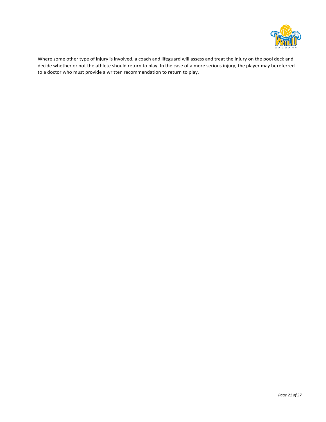

Where some other type of injury is involved, a coach and lifeguard will assess and treat the injury on the pool deck and decide whether or not the athlete should return to play. In the case of a more serious injury, the player may bereferred to a doctor who must provide a written recommendation to return to play.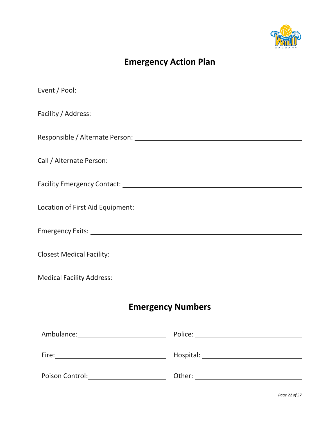

# **Emergency Action Plan**

| <b>Emergency Numbers</b> |                                    |  |  |  |
|--------------------------|------------------------------------|--|--|--|
|                          | Ambulance: Police: Police: Police: |  |  |  |
|                          |                                    |  |  |  |
|                          |                                    |  |  |  |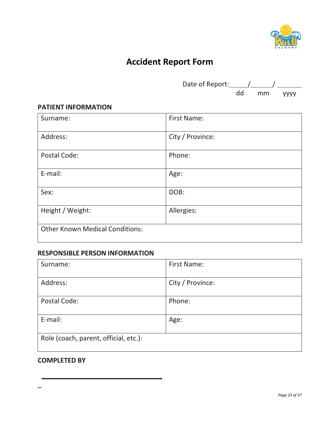

# **Accident Report Form**

| Date of Report: |    |    |             |
|-----------------|----|----|-------------|
|                 | hh | mm | <b>YYYY</b> |

# **PATIENT INFORMATION**

| Surname:                               | <b>First Name:</b> |  |
|----------------------------------------|--------------------|--|
| Address:                               | City / Province:   |  |
| Postal Code:                           | Phone:             |  |
| E-mail:                                | Age:               |  |
| Sex:                                   | DOB:               |  |
| Height / Weight:                       | Allergies:         |  |
| <b>Other Known Medical Conditions:</b> |                    |  |

# **RESPONSIBLE PERSON INFORMATION**

| Surname:                              | <b>First Name:</b> |  |
|---------------------------------------|--------------------|--|
| Address:                              | City / Province:   |  |
| Postal Code:                          | Phone:             |  |
| E-mail:                               | Age:               |  |
| Role (coach, parent, official, etc.): |                    |  |

# **COMPLETED BY**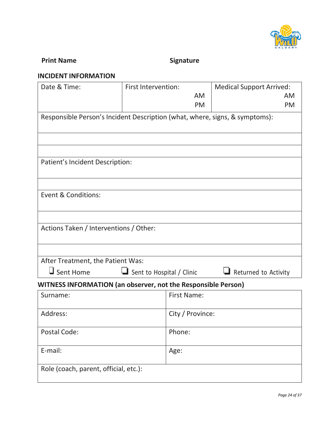

# **Print Name Signature**

# **INCIDENT INFORMATION**

| Date & Time:                                                                | First Intervention:                                             |                    | <b>Medical Support Arrived:</b> |  |  |
|-----------------------------------------------------------------------------|-----------------------------------------------------------------|--------------------|---------------------------------|--|--|
|                                                                             |                                                                 | <b>AM</b>          | <b>AM</b>                       |  |  |
|                                                                             |                                                                 | PM                 | <b>PM</b>                       |  |  |
| Responsible Person's Incident Description (what, where, signs, & symptoms): |                                                                 |                    |                                 |  |  |
|                                                                             |                                                                 |                    |                                 |  |  |
|                                                                             |                                                                 |                    |                                 |  |  |
| Patient's Incident Description:                                             |                                                                 |                    |                                 |  |  |
|                                                                             |                                                                 |                    |                                 |  |  |
| Event & Conditions:                                                         |                                                                 |                    |                                 |  |  |
|                                                                             |                                                                 |                    |                                 |  |  |
| Actions Taken / Interventions / Other:                                      |                                                                 |                    |                                 |  |  |
|                                                                             |                                                                 |                    |                                 |  |  |
| After Treatment, the Patient Was:                                           |                                                                 |                    |                                 |  |  |
| $\Box$ Sent Home                                                            | $\Box$ Sent to Hospital / Clinic<br>$\Box$ Returned to Activity |                    |                                 |  |  |
| WITNESS INFORMATION (an observer, not the Responsible Person)               |                                                                 |                    |                                 |  |  |
| Surname:                                                                    |                                                                 | <b>First Name:</b> |                                 |  |  |
| Address:                                                                    |                                                                 | City / Province:   |                                 |  |  |
| Postal Code:                                                                | Phone:                                                          |                    |                                 |  |  |
| E-mail:                                                                     | Age:                                                            |                    |                                 |  |  |
| Role (coach, parent, official, etc.):                                       |                                                                 |                    |                                 |  |  |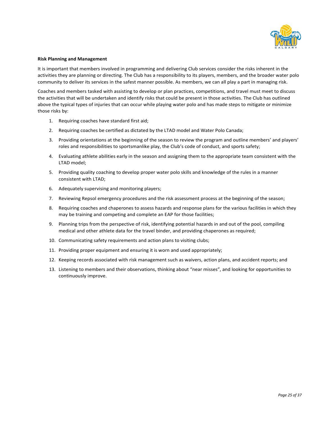

#### **Risk Planning and Management**

It is important that members involved in programming and delivering Club services consider the risks inherent in the activities they are planning or directing. The Club has a responsibility to its players, members, and the broader water polo community to deliver its services in the safest manner possible. As members, we can all play a part in managing risk.

Coaches and members tasked with assisting to develop or plan practices, competitions, and travel must meet to discuss the activities that will be undertaken and identify risks that could be present in those activities. The Club has outlined above the typical types of injuries that can occur while playing water polo and has made steps to mitigate or minimize those risks by:

- 1. Requiring coaches have standard first aid;
- 2. Requiring coaches be certified as dictated by the LTAD model and Water Polo Canada;
- 3. Providing orientations at the beginning of the season to review the program and outline members' and players' roles and responsibilities to sportsmanlike play, the Club's code of conduct, and sports safety;
- 4. Evaluating athlete abilities early in the season and assigning them to the appropriate team consistent with the LTAD model;
- 5. Providing quality coaching to develop proper water polo skills and knowledge of the rules in a manner consistent with LTAD;
- 6. Adequately supervising and monitoring players;
- 7. Reviewing Repsol emergency procedures and the risk assessment process at the beginning of the season;
- 8. Requiring coaches and chaperones to assess hazards and response plans for the various facilities in which they may be training and competing and complete an EAP for those facilities;
- 9. Planning trips from the perspective of risk, identifying potential hazards in and out of the pool, compiling medical and other athlete data for the travel binder, and providing chaperones as required;
- 10. Communicating safety requirements and action plans to visiting clubs;
- 11. Providing proper equipment and ensuring it is worn and used appropriately;
- 12. Keeping records associated with risk management such as waivers, action plans, and accident reports; and
- 13. Listening to members and their observations, thinking about "near misses", and looking for opportunities to continuously improve.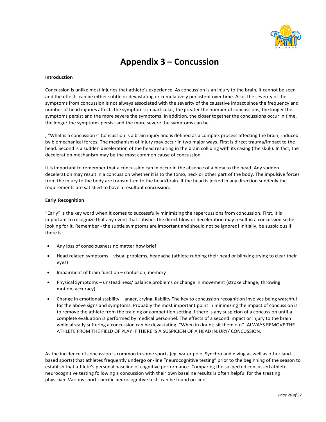

# **Appendix 3 – Concussion**

#### **Introduction**

Concussion is unlike most injuries that athlete's experience. As concussion is an injury to the brain, it cannot be seen and the effects can be either subtle or devastating or cumulatively persistent over time. Also, the severity of the symptoms from concussion is not always associated with the severity of the causative impact since the frequency and number of head injuries affects the symptoms: in particular, the greater the number of concussions, the longer the symptoms persist and the more severe the symptoms. In addition, the closer together the concussions occur in time, the longer the symptoms persist and the more severe the symptoms can be.

, "What is a concussion?" Concussion is a brain injury and is defined as a complex process affecting the brain, induced by biomechanical forces. The mechanism of injury may occur in two major ways. First is direct trauma/impact to the head. Second is a sudden deceleration of the head resulting in the brain colliding with its casing (the skull). In fact, the deceleration mechanism may be the most common cause of concussion.

It is important to remember that a concussion can in occur in the absence of a blow to the head. Any sudden deceleration may result in a concussion whether it is to the torso, neck or other part of the body. The impulsive forces from the injury to the body are transmitted to the head/brain. If the head is jerked in any direction suddenly the requirements are satisfied to have a resultant concussion.

#### **Early Recognition**

"Early" is the key word when it comes to successfully minimizing the repercussions from concussion. First, it is important to recognize that any event that satisfies the direct blow or deceleration may result in a concussion so be looking for it. Remember - the subtle symptoms are important and should not be ignored! Initially, be suspicious if there is:

- Any loss of consciousness no matter how brief
- Head related symptoms visual problems, headache (athlete rubbing their head or blinking trying to clear their eyes)
- Impairment of brain function confusion, memory
- Physical Symptoms unsteadiness/ balance problems or change in movement (stroke change, throwing motion, accuracy) –
- Change in emotional stability anger, crying, liability The key to concussion recognition involves being watchful for the above signs and symptoms. Probably the most important point in minimizing the impact of concussion is to remove the athlete from the training or competition setting if there is any suspicion of a concussion until a complete evaluation is performed by medical personnel. The effects of a second impact or injury to the brain while already suffering a concussion can be devastating. "When in doubt; sit them out". ALWAYS REMOVE THE ATHLETE FROM THE FIELD OF PLAY IF THERE IS A SUSPICION OF A HEAD INJURY/ CONCUSSION.

As the incidence of concussion is common in some sports (eg. water polo, Synchro and diving as well as other land based sports) that athletes frequently undergo on-line "neurocognitive testing" prior to the beginning of the season to establish that athlete's personal baseline of cognitive performance. Comparing the suspected concussed athlete neurocognitive testing following a concussion with their own baseline results is often helpful for the treating physician. Various sport-specific neurocognitive tests can be found on-line.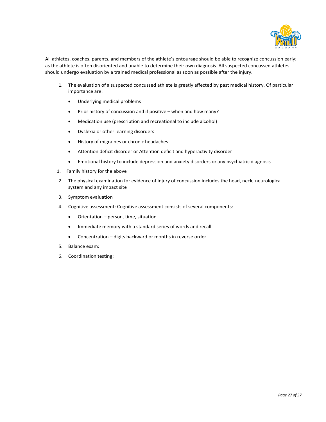

All athletes, coaches, parents, and members of the athlete's entourage should be able to recognize concussion early; as the athlete is often disoriented and unable to determine their own diagnosis. All suspected concussed athletes should undergo evaluation by a trained medical professional as soon as possible after the injury.

- 1. The evaluation of a suspected concussed athlete is greatly affected by past medical history. Of particular importance are:
	- Underlying medical problems
	- Prior history of concussion and if positive when and how many?
	- Medication use (prescription and recreational to include alcohol)
	- Dyslexia or other learning disorders
	- History of migraines or chronic headaches
	- Attention deficit disorder or Attention deficit and hyperactivity disorder
	- Emotional history to include depression and anxiety disorders or any psychiatric diagnosis
- 1. Family history for the above
- 2. The physical examination for evidence of injury of concussion includes the head, neck, neurological system and any impact site
- 3. Symptom evaluation
- 4. Cognitive assessment: Cognitive assessment consists of several components:
	- Orientation person, time, situation
	- Immediate memory with a standard series of words and recall
	- Concentration digits backward or months in reverse order
- 5. Balance exam:
- 6. Coordination testing: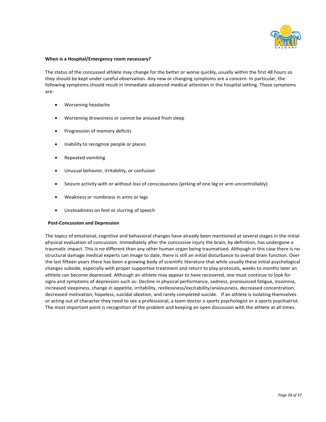

#### **When is a Hospital/Emergency room necessary?**

The status of the concussed athlete may change for the better or worse quickly, usually within the first 48 hours so they should be kept under careful observation. Any new or changing symptoms are a concern. In particular, the following symptoms should result in immediate advanced medical attention in the hospital setting. Those symptoms are:

- Worsening headache
- Worsening drowsiness or cannot be aroused from sleep
- Progression of memory deficits
- Inability to recognize people or places
- Repeated vomiting
- Unusual behavior, irritability, or confusion
- Seizure activity with or without loss of consciousness (jerking of one leg or arm uncontrollably)
- Weakness or numbness in arms or legs
- Unsteadiness on feet or slurring of speech

#### **Post-Concussion and Depression**

The topics of emotional, cognitive and behavioral changes have already been mentioned at several stages in the initial physical evaluation of concussion. Immediately after the concussive injury the brain, by definition, has undergone a traumatic impact. This is no different than any other human organ being traumatized. Although in this case there is no structural damage medical experts can image to date, there is still an initial disturbance to overall brain function. Over the last fifteen years there has been a growing body of scientific literature that while usually these initial psychological changes subside, especially with proper supportive treatment and return to play protocols, weeks to months later an athlete can become depressed. Although an athlete may appear to have recovered, one must continue to look for signs and symptoms of depression such as: Decline in physical performance, sadness, pronounced fatigue, insomnia, increased sleepiness, change in appetite, irritability, restlessness/excitability/anxiousness, decreased concentration, decreased motivation, hopeless, suicidal ideation, and rarely completed suicide. If an athlete is isolating themselves or acting out of character they need to see a professional, a team doctor a sports psychologist or a sports psychiatrist. The most important point is recognition of the problem and keeping an open discussion with the athlete at all times.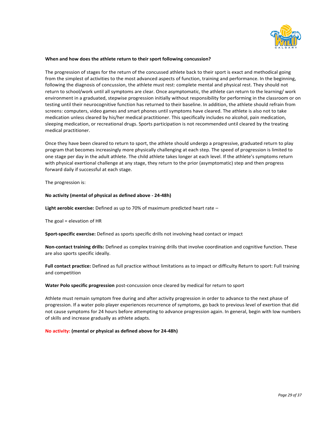

#### **When and how does the athlete return to their sport following concussion?**

The progression of stages for the return of the concussed athlete back to their sport is exact and methodical going from the simplest of activities to the most advanced aspects of function, training and performance. In the beginning, following the diagnosis of concussion, the athlete must rest: complete mental and physical rest. They should not return to school/work until all symptoms are clear. Once asymptomatic, the athlete can return to the learning/ work environment in a graduated, stepwise progression initially without responsibility for performing in the classroom or on testing until their neurocognitive function has returned to their baseline. In addition, the athlete should refrain from screens: computers, video games and smart phones until symptoms have cleared. The athlete is also not to take medication unless cleared by his/her medical practitioner. This specifically includes no alcohol, pain medication, sleeping medication, or recreational drugs. Sports participation is not recommended until cleared by the treating medical practitioner.

Once they have been cleared to return to sport, the athlete should undergo a progressive, graduated return to play program that becomes increasingly more physically challenging at each step. The speed of progression is limited to one stage per day in the adult athlete. The child athlete takes longer at each level. If the athlete's symptoms return with physical exertional challenge at any stage, they return to the prior (asymptomatic) step and then progress forward daily if successful at each stage.

The progression is:

#### **No activity (mental of physical as defined above - 24-48h)**

**Light aerobic exercise:** Defined as up to 70% of maximum predicted heart rate –

The goal = elevation of HR

**Sport-specific exercise:** Defined as sports specific drills not involving head contact or impact

**Non-contact training drills:** Defined as complex training drills that involve coordination and cognitive function. These are also sports specific ideally.

**Full contact practice:** Defined as full practice without limitations as to impact or difficulty Return to sport: Full training and competition

#### **Water Polo specific progression** post-concussion once cleared by medical for return to sport

Athlete must remain symptom free during and after activity progression in order to advance to the next phase of progression. If a water polo player experiences recurrence of symptoms, go back to previous level of exertion that did not cause symptoms for 24 hours before attempting to advance progression again. In general, begin with low numbers of skills and increase gradually as athlete adapts.

#### **No activity: (mental or physical as defined above for 24-48h)**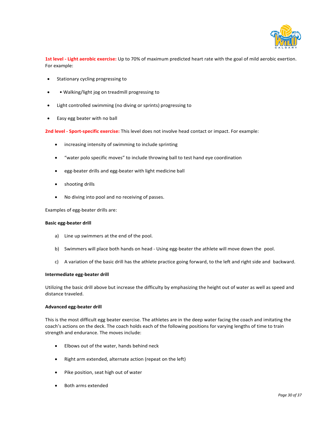

**1st level - Light aerobic exercise:** Up to 70% of maximum predicted heart rate with the goal of mild aerobic exertion. For example:

- Stationary cycling progressing to
- • Walking/light jog on treadmill progressing to
- Light controlled swimming (no diving or sprints) progressing to
- Easy egg beater with no ball

**2nd level - Sport-specific exercise:** This level does not involve head contact or impact. For example:

- increasing intensity of swimming to include sprinting
- "water polo specific moves" to include throwing ball to test hand eye coordination
- egg-beater drills and egg-beater with light medicine ball
- shooting drills
- No diving into pool and no receiving of passes.

Examples of egg-beater drills are:

#### **Basic egg-beater drill**

- a) Line up swimmers at the end of the pool.
- b) Swimmers will place both hands on head Using egg-beater the athlete will move down the pool.
- c) A variation of the basic drill has the athlete practice going forward, to the left and right side and backward.

#### **Intermediate egg-beater drill**

Utilizing the basic drill above but increase the difficulty by emphasizing the height out of water as well as speed and distance traveled.

#### **Advanced egg-beater drill**

This is the most difficult egg beater exercise. The athletes are in the deep water facing the coach and imitating the coach's actions on the deck. The coach holds each of the following positions for varying lengths of time to train strength and endurance. The moves include:

- Elbows out of the water, hands behind neck
- Right arm extended, alternate action (repeat on the left)
- Pike position, seat high out of water
- Both arms extended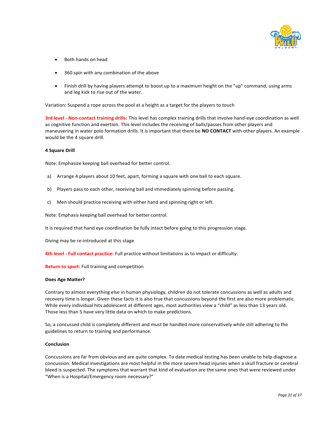

- Both hands on head
- 360 spin with any combination of the above
- Finish drill by having players attempt to boost up to a maximum height on the "up" command, using arms and leg kick to rise out of the water.

Variation: Suspend a rope across the pool at a height as a target for the players to touch

**3rd level - Non-contact training drills:** This level has complex training drills that involve hand-eye coordination as well as cognitive function and exertion. This level includes the receiving of balls/passes from other players and maneuvering in water polo formation drills. It is important that there be **NO CONTACT** with other players. An example would be the 4 square drill.

#### **4 Square Drill**

Note: Emphasize keeping ball overhead for better control.

- a) Arrange 4 players about 10 feet, apart, forming a square with one ball to each square.
- b) Players pass to each other, receiving ball and immediately spinning before passing.
- c) Men should practice receiving with either hand and spinning right or left.

Note: Emphasis keeping ball overhead for better control.

It is required that hand eye coordination be fully intact before going to this progression stage.

Diving may be re-introduced at this stage

**4th level - Full contact practice:** Full practice without limitations as to impact or difficulty:

**Return to sport:** Full training and competition

#### **Does Age Matter?**

Contrary to almost everything else in human physiology, children do not tolerate concussions as well as adults and recovery time is longer. Given these facts it is also true that concussions beyond the first are also more problematic. While every individual hits adolescent at different ages, most authorities view a "child" as less than 13 years old. Those less than 5 have very little data on which to make predictions.

So, a concussed child is completely different and must be handled more conservatively while still adhering to the guidelines to return to training and performance.

#### **Conclusion**

Concussions are far from obvious and are quite complex. To date medical testing has been unable to help diagnose a concussion. Medical investigations are most helpful in the more severe head injuries when a skull fracture or cerebral bleed is suspected. The symptoms that warrant that kind of evaluation are the same ones that were reviewed under "When is a Hospital/Emergency room necessary?"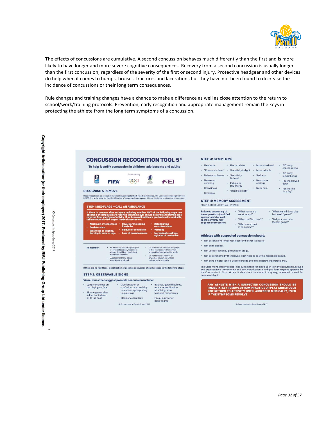

The effects of concussions are cumulative. A second concussion behaves much differently than the first and is more likely to have longer and more severe cognitive consequences. Recovery from a second concussion is usually longer than the first concussion, regardless of the severity of the first or second injury. Protective headgear and other devices do help when it comes to bumps, bruises, fractures and lacerations but they have not been found to decrease the incidence of concussions or their long term consequences.

Rule changes and training changes have a chance to make a difference as well as close attention to the return to school/work/training protocols. Prevention, early recognition and appropriate management remain the keys in protecting the athlete from the long term symptoms of a concussion.

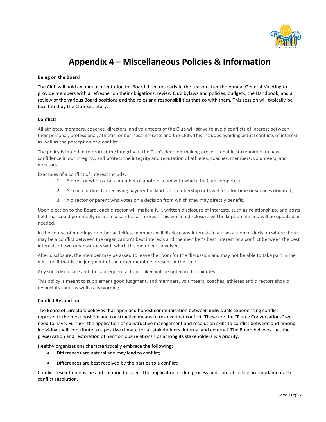

# **Appendix 4 – Miscellaneous Policies & Information**

#### **Being on the Board**

The Club will hold an annual orientation for Board directors early in the season after the Annual General Meeting to provide members with a refresher on their obligations, review Club bylaws and policies, budgets, the Handbook, and a review of the various Board positions and the roles and responsibilities that go with them. This session will typically be facilitated by the Club Secretary.

#### **Conflicts**

All athletes, members, coaches, directors, and volunteers of the Club will strive to avoid conflicts of interest between their personal, professional, athletic, or business interests and the Club. This includes avoiding actual conflicts of interest as well as the perception of a conflict.

The policy is intended to protect the integrity of the Club's decision-making process, enable stakeholders to have confidence in our integrity, and protect the integrity and reputation of athletes, coaches, members, volunteers, and directors.

Examples of a conflict of interest include:

- 1. A director who is also a member of another team with which the Club competes;
- 2. A coach or director receiving payment in kind for membership or travel fees for time or services donated;
- 3. A director or parent who votes on a decision from which they may directly benefit.

Upon election to the Board, each director will make a full, written disclosure of interests, such as relationships, and posts held that could potentially result in a conflict of interest. This written disclosure will be kept on file and will be updated as needed.

In the course of meetings or other activities, members will disclose any interests in a transaction or decision where there may be a conflict between the organization's best interests and the member's best interest or a conflict between the best interests of two organizations with which the member is involved.

After disclosure, the member may be asked to leave the room for the discussion and may not be able to take part in the decision if that is the judgment of the other members present at the time.

Any such disclosure and the subsequent actions taken will be noted in the minutes.

This policy is meant to supplement good judgment, and members, volunteers, coaches, athletes and directors should respect its spirit as well as its wording.

#### **Conflict Resolution**

The Board of Directors believes that open and honest communication between individuals experiencing conflict represents the most positive and constructive means to resolve that conflict. These are the "Fierce Conversations" we need to have. Further, the application of constructive management and resolution skills to conflict between and among individuals will contribute to a positive climate for all stakeholders, internal and external. The Board believes that the preservation and restoration of harmonious relationships among its stakeholders is a priority.

Healthy organizations characteristically embrace the following:

- Differences are natural and may lead to conflict;
- Differences are best resolved by the parties to a conflict;

Conflict resolution is issue and solution focused. The application of due process and natural justice are fundamental to conflict resolution.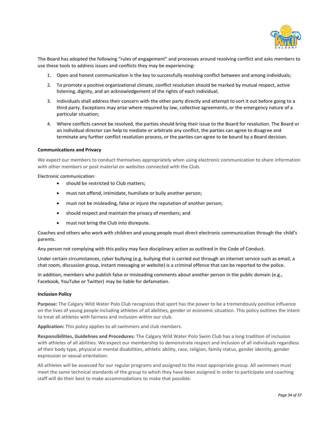

The Board has adopted the following "rules of engagement" and processes around resolving conflict and asks members to use these tools to address issues and conflicts they may be experiencing:

- 1. Open and honest communication is the key to successfully resolving conflict between and among individuals;
- 2. To promote a positive organizational climate, conflict resolution should be marked by mutual respect, active listening, dignity, and an acknowledgement of the rights of each individual;
- 3. Individuals shall address their concern with the other party directly and attempt to sort it out before going to a third party. Exceptions may arise where required by law, collective agreements, or the emergency nature of a particular situation;
- 4. Where conflicts cannot be resolved, the parties should bring their issue to the Board for resolution. The Board or an individual director can help to mediate or arbitrate any conflict, the parties can agree to disagree and terminate any further conflict resolution process, or the parties can agree to be bound by a Board decision.

#### **Communications and Privacy**

We expect our members to conduct themselves appropriately when using electronic communication to share information with other members or post material on websites connected with the Club.

Electronic communication:

- should be restricted to Club matters;
- must not offend, intimidate, humiliate or bully another person;
- must not be misleading, false or injure the reputation of another person;
- should respect and maintain the privacy of members; and
- must not bring the Club into disrepute.

Coaches and others who work with children and young people must direct electronic communication through the child's parents.

Any person not complying with this policy may face disciplinary action as outlined in the Code of Conduct.

Under certain circumstances, cyber bullying (e.g. bullying that is carried out through an internet service such as email, a chat room, discussion group, instant messaging or website) is a criminal offence that can be reported to the police.

In addition, members who publish false or misleading comments about another person in the public domain (e.g., Facebook, YouTube or Twitter) may be liable for defamation.

#### **Inclusion Policy**

**Purpose:** The Calgary Wild Water Polo Club recognizes that sport has the power to be a tremendously positive influence on the lives of young people including athletes of all abilities, gender or economic situation. This policy outlines the intent to treat all athletes with fairness and inclusion within our club.

**Application:** This policy applies to all swimmers and club members.

**Responsibilities, Guidelines and Procedures:** The Calgary Wild Water Polo Swim Club has a long tradition of inclusion with athletes of all abilities. We expect our membership to demonstrate respect and inclusion of all individuals regardless of their body type, physical or mental disabilities, athletic ability, race, religion, family status, gender identity, gender expression or sexual orientation.

All athletes will be assessed for our regular programs and assigned to the most appropriate group. All swimmers must meet the same technical standards of the group to which they have been assigned in order to participate and coaching staff will do their best to make accommodations to make that possible.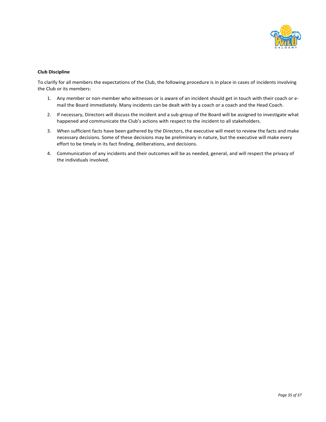

#### **Club Discipline**

To clarify for all members the expectations of the Club, the following procedure is in place in cases of incidents involving the Club or its members:

- 1. Any member or non-member who witnesses or is aware of an incident should get in touch with their coach or email the Board immediately. Many incidents can be dealt with by a coach or a coach and the Head Coach.
- 2. If necessary, Directors will discuss the incident and a sub-group of the Board will be assigned to investigate what happened and communicate the Club's actions with respect to the incident to all stakeholders.
- 3. When sufficient facts have been gathered by the Directors, the executive will meet to review the facts and make necessary decisions. Some of these decisions may be preliminary in nature, but the executive will make every effort to be timely in its fact finding, deliberations, and decisions.
- 4. Communication of any incidents and their outcomes will be as needed, general, and will respect the privacy of the individuals involved.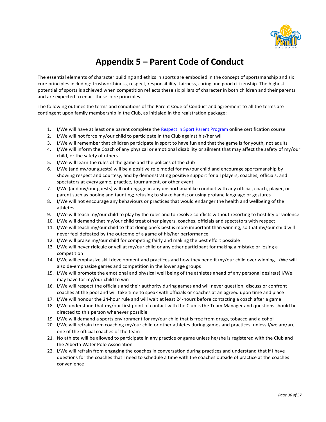

# **Appendix 5 – Parent Code of Conduct**

The essential elements of character building and ethics in sports are embodied in the concept of sportsmanship and six core principles including: trustworthiness, respect, responsibility, fairness, caring and good citizenship. The highest potential of sports is achieved when competition reflects these six pillars of character in both children and their parents and are expected to enact these core principles.

The following outlines the terms and conditions of the Parent Code of Conduct and agreement to all the terms are contingent upon family membership in the Club, as initialed in the registration package:

- 1. I/We will have at least one parent complete th[e Respect in Sport Parent Program](https://www.albertawaterpolo.ca/content/parents-respect-in-sport) online certification course
- 2. I/We will not force my/our child to participate in the Club against his/her will
- 3. I/We will remember that children participate in sport to have fun and that the game is for youth, not adults
- 4. I/We will inform the Coach of any physical or emotional disability or ailment that may affect the safety of my/our child, or the safety of others
- 5. I/We will learn the rules of the game and the policies of the club
- 6. I/We (and my/our guests) will be a positive role model for my/our child and encourage sportsmanship by showing respect and courtesy, and by demonstrating positive support for all players, coaches, officials, and spectators at every game, practice, tournament, or other event
- 7. I/We (and my/our guests) will not engage in any unsportsmanlike conduct with any official, coach, player, or parent such as booing and taunting; refusing to shake hands; or using profane language or gestures
- 8. I/We will not encourage any behaviours or practices that would endanger the health and wellbeing of the athletes
- 9. I/We will teach my/our child to play by the rules and to resolve conflicts without resorting to hostility or violence
- 10. I/We will demand that my/our child treat other players, coaches, officials and spectators with respect
- 11. I/We will teach my/our child to that doing one's best is more important than winning, so that my/our child will never feel defeated by the outcome of a game of his/her performance
- 12. I/We will praise my/our child for competing fairly and making the best effort possible
- 13. I/We will never ridicule or yell at my/our child or any other participant for making a mistake or losing a competition
- 14. I/We will emphasize skill development and practices and how they benefit my/our child over winning. I/We will also de-emphasize games and competition in the lower age groups
- 15. I/We will promote the emotional and physical well being of the athletes ahead of any personal desire(s) I/We may have for my/our child to win
- 16. I/We will respect the officials and their authority during games and will never question, discuss or confront coaches at the pool and will take time to speak with officials or coaches at an agreed upon time and place
- 17. I/We will honour the 24-hour rule and will wait at least 24-hours before contacting a coach after a game
- 18. I/We understand that my/our first point of contact with the Club is the Team Manager and questions should be directed to this person whenever possible
- 19. I/We will demand a sports environment for my/our child that is free from drugs, tobacco and alcohol
- 20. I/We will refrain from coaching my/our child or other athletes during games and practices, unless I/we am/are one of the official coaches of the team
- 21. No athlete will be allowed to participate in any practice or game unless he/she is registered with the Club and the Alberta Water Polo Association
- 22. I/We will refrain from engaging the coaches in conversation during practices and understand that if I have questions for the coaches that I need to schedule a time with the coaches outside of practice at the coaches convenience